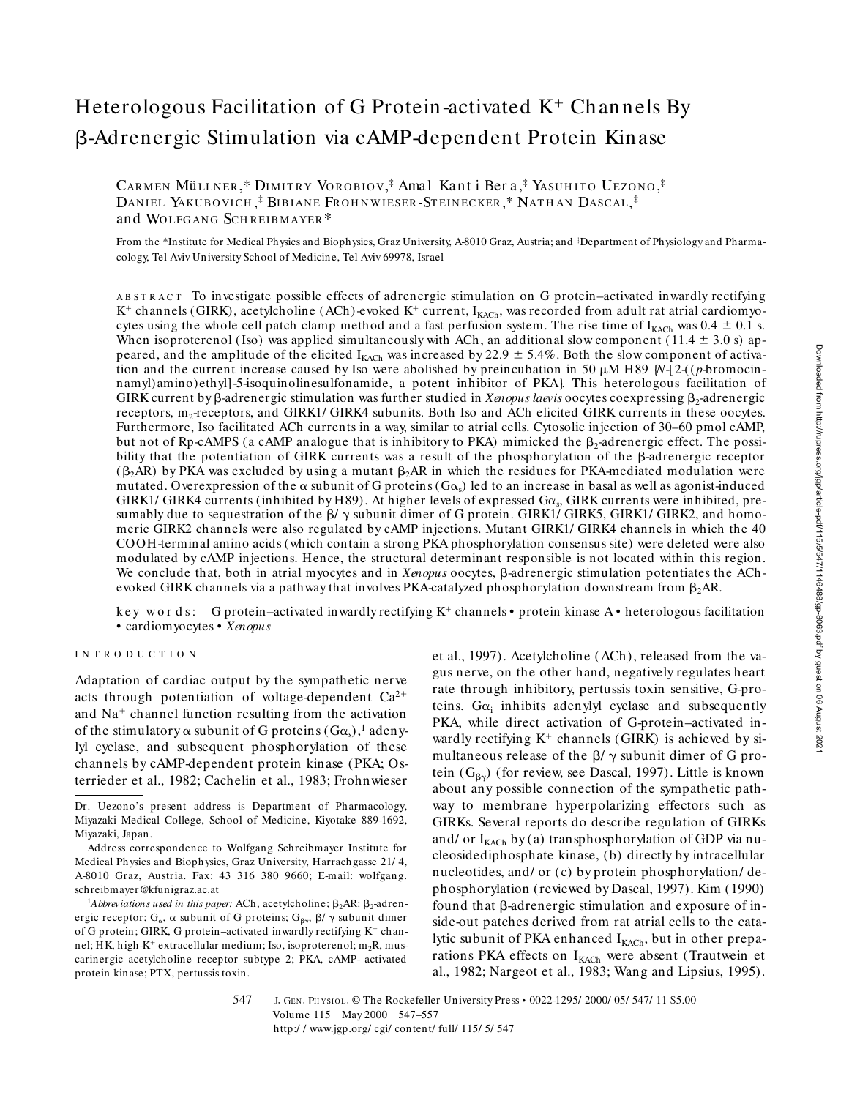# Heterologous Facilitation of G Protein-activated  $K^+$  Channels By b-Adrenergic Stimulation via cAMP-dependent Protein Kinase

Cаrмеn Müllner,\* Diмitry Vorobiov,‡ Amal Kant i Ber a,‡ Yasuhito Uezono,‡ DANIEL YAKUBOVICH,<sup>‡</sup> Bibiane Frohnwieser-Steinecker,\* Nathan Dascal,<sup>‡</sup> and WOLFGANG SCHREIBMAYER<sup>\*</sup>

From the \*Institute for Medical Physics and Biophysics, Graz University, A-8010 Graz, Austria; and <sup>‡</sup>Department of Physiology and Pharmacology, Tel Aviv University School of Medicine, Tel Aviv 69978, Israel

A B S T R A C T To investigate possible effects of adrenergic stimulation on G protein–activated inwardly rectifying  $K^+$  channels (GIRK), acetylcholine (ACh)-evoked  $K^+$  current, I<sub>KACh</sub>, was recorded from adult rat atrial cardiomyocytes using the whole cell patch clamp method and a fast perfusion system. The rise time of  $I_{KACH}$  was 0.4  $\pm$  0.1 s. When isoproterenol (Iso) was applied simultaneously with ACh, an additional slow component (11.4  $\pm$  3.0 s) appeared, and the amplitude of the elicited I<sub>KACh</sub> was increased by 22.9  $\pm$  5.4%. Both the slow component of activation and the current increase caused by Iso were abolished by preincubation in 50  $\mu$ M H89  $\mathcal{W}$ -[2-((*p*-bromocinnamyl)amino)ethyl]-5-isoquinolinesulfonamide, a potent inhibitor of PKA}. This heterologous facilitation of GIRK current by β-adrenergic stimulation was further studied in *Xenopus laevis* oocytes coexpressing β<sub>2</sub>-adrenergic receptors, m<sub>2</sub>-receptors, and GIRK1/ GIRK4 subunits. Both Iso and ACh elicited GIRK currents in these oocytes. Furthermore, Iso facilitated ACh currents in a way, similar to atrial cells. Cytosolic injection of 30–60 pmol cAMP, but not of Rp-cAMPS (a cAMP analogue that is inhibitory to PKA) mimicked the  $\beta_2$ -adrenergic effect. The possibility that the potentiation of GIRK currents was a result of the phosphorylation of the  $\beta$ -adrenergic receptor  $(\beta_2AR)$  by PKA was excluded by using a mutant  $\beta_2AR$  in which the residues for PKA-mediated modulation were mutated. Overexpression of the  $\alpha$  subunit of G proteins (G $\alpha_s$ ) led to an increase in basal as well as agonist-induced GIRK1/ GIRK4 currents (inhibited by H89). At higher levels of expressed  $Ga_s$ , GIRK currents were inhibited, presumably due to sequestration of the  $\beta/\gamma$  subunit dimer of G protein. GIRK1/ GIRK5, GIRK1/ GIRK2, and homomeric GIRK2 channels were also regulated by cAMP injections. Mutant GIRK1/ GIRK4 channels in which the 40 COOH-terminal amino acids (which contain a strong PKA phosphorylation consensus site) were deleted were also modulated by cAMP injections. Hence, the structural determinant responsible is not located within this region. We conclude that, both in atrial myocytes and in *Xenopus* oocytes,  $\beta$ -adrenergic stimulation potentiates the AChevoked GIRK channels via a pathway that involves PKA-catalyzed phosphorylation downstream from  $\beta_2$ AR.

key words: G protein–activated inwardly rectifying  $K^+$  channels • protein kinase A • heterologous facilitation • cardiomyocytes • *Xenopus*

## INTRODUCTION

Adaptation of cardiac output by the sympathetic nerve acts through potentiation of voltage-dependent  $Ca^{2+}$ and Na<sup>+</sup> channel function resulting from the activation of the stimulatory  $\alpha$  subunit of G proteins (G $\alpha_{\rm s}$ ),  $^{\rm l}$  adenylyl cyclase, and subsequent phosphorylation of these channels by cAMP-dependent protein kinase (PKA; Osterrieder et al., 1982; Cachelin et al., 1983; Frohnwieser

et al., 1997). Acetylcholine (ACh), released from the vagus nerve, on the other hand, negatively regulates heart rate through inhibitory, pertussis toxin sensitive, G-proteins.  $G\alpha_i$  inhibits adenylyl cyclase and subsequently PKA, while direct activation of G-protein–activated inwardly rectifying  $K^+$  channels (GIRK) is achieved by simultaneous release of the  $\beta$ /  $\gamma$  subunit dimer of G protein  $(G_{\beta\gamma})$  (for review, see Dascal, 1997). Little is known about any possible connection of the sympathetic pathway to membrane hyperpolarizing effectors such as GIRKs. Several reports do describe regulation of GIRKs and/ or  $I_{KACH}$  by (a) transphosphorylation of GDP via nucleosidediphosphate kinase, (b) directly by intracellular nucleotides, and/ or (c) by protein phosphorylation/ dephosphorylation (reviewed by Dascal, 1997). Kim (1990) found that  $\beta$ -adrenergic stimulation and exposure of inside-out patches derived from rat atrial cells to the catalytic subunit of PKA enhanced  $I_{KACh}$ , but in other preparations PKA effects on  $I_{KACH}$  were absent (Trautwein et al., 1982; Nargeot et al., 1983; Wang and Lipsius, 1995).

Downloaded from http://rupress.org/jgp/article-pdf/115/547/1146488/gp-8063.pdf by guest on 06 August 202 Downloaded from http://rupress.org/jgp/article-pdf/115/5/547/1146488/gp-8063.pdf by guest on 06 August 2021

547 J. GEN. PHYSIOL. © The Rockefeller University Press • 0022-1295/ 2000/ 05/ 547/ 11 \$5.00 Volume 115 May 2000 547–557 http:/ / www.jgp.org/ cgi/ content/ full/ 115/ 5/ 547

Dr. Uezono's present address is Department of Pharmacology, Miyazaki Medical College, School of Medicine, Kiyotake 889-1692, Miyazaki, Japan.

Address correspondence to Wolfgang Schreibmayer Institute for Medical Physics and Biophysics, Graz University, Harrachgasse 21/ 4, A-8010 Graz, Austria. Fax: 43 316 380 9660; E-mail: wolfgang. schreibmayer@kfunigraz.ac.at

 $1$ *Abbreviations used in this paper:* ACh, acetylcholine;  $\beta_2$ AR:  $\beta_2$ -adrenergic receptor;  $G_{\alpha}$ ,  $\alpha$  subunit of G proteins;  $G_{\beta\gamma}$ ,  $\beta\prime\,\gamma$  subunit dimer of G protein; GIRK, G protein-activated inwardly rectifying  $K^+$  channel; HK, high-K<sup>+</sup> extracellular medium; Iso, isoproterenol; m<sub>2</sub>R, muscarinergic acetylcholine receptor subtype 2; PKA, cAMP- activated protein kinase; PTX, pertussis toxin.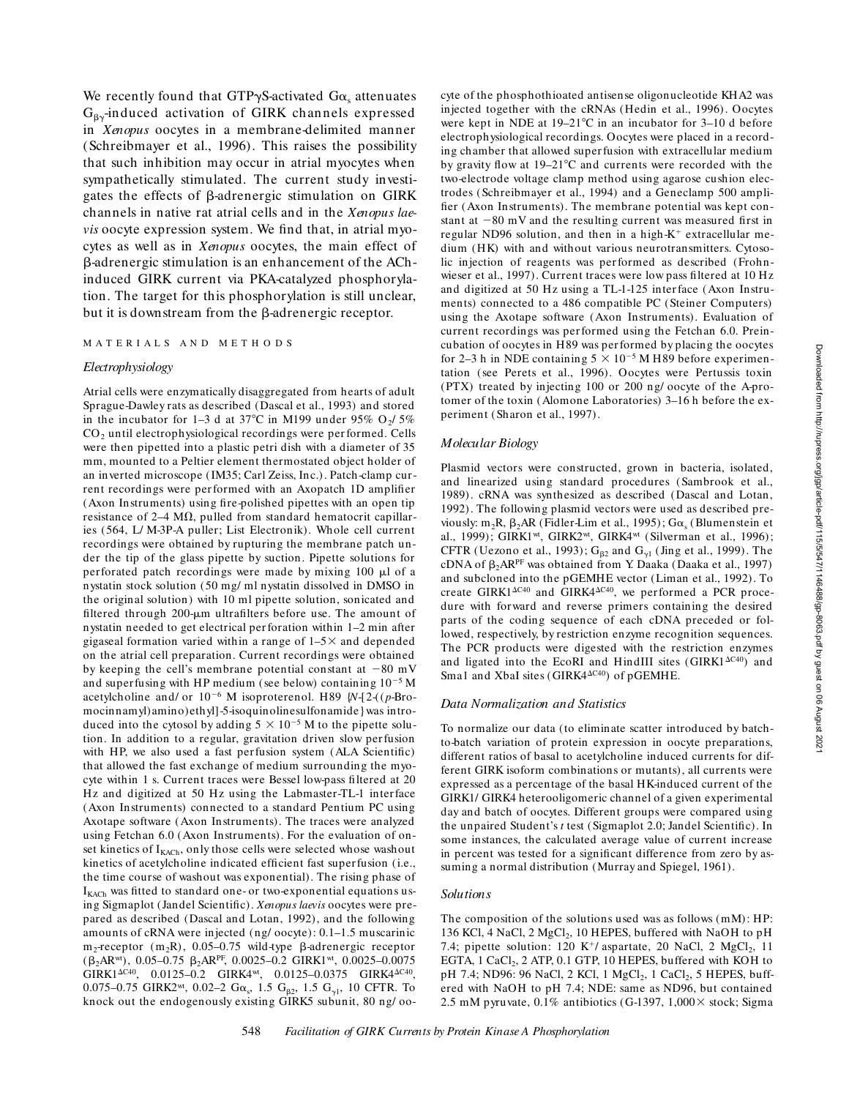We recently found that GTP $\gamma$ S-activated G $\alpha_{\rm s}$  attenuates  $G_{\beta\gamma}$ -induced activation of GIRK channels expressed in *Xenopus* oocytes in a membrane-delimited manner (Schreibmayer et al., 1996). This raises the possibility that such inhibition may occur in atrial myocytes when sympathetically stimulated. The current study investigates the effects of  $\beta$ -adrenergic stimulation on GIRK channels in native rat atrial cells and in the *Xenopus laevis* oocyte expression system. We find that, in atrial myocytes as well as in *Xenopus* oocytes, the main effect of b-adrenergic stimulation is an enhancement of the AChinduced GIRK current via PKA-catalyzed phosphorylation. The target for this phosphorylation is still unclear, but it is downstream from the  $\beta$ -adrenergic receptor.

#### MATERIALS AND METH O DS

## *Electrophysiology*

Atrial cells were enzymatically disaggregated from hearts of adult Sprague-Dawley rats as described (Dascal et al., 1993) and stored in the incubator for  $1-3$  d at 37°C in M199 under 95% O<sub>2</sub>/5% CO<sub>2</sub> until electrophysiological recordings were performed. Cells were then pipetted into a plastic petri dish with a diameter of 35 mm, mounted to a Peltier element thermostated object holder of an inverted microscope (IM35; Carl Zeiss, Inc.). Patch-clamp current recordings were per formed with an Axopatch 1D amplifier (Axon Instruments) using fire-polished pipettes with an open tip resistance of  $2-4$  M $\Omega$ , pulled from standard hematocrit capillaries (564, L/ M-3P-A puller; List Electronik). Whole cell current recordings were obtained by rupturing the membrane patch under the tip of the glass pipette by suction. Pipette solutions for perforated patch recordings were made by mixing  $100 \mu l$  of a nystatin stock solution (50 mg/ ml nystatin dissolved in DMSO in the original solution) with 10 ml pipette solution, sonicated and filtered through 200-um ultrafilters before use. The amount of nystatin needed to get electrical per foration within 1–2 min after gigaseal formation varied within a range of  $1-5\times$  and depended on the atrial cell preparation. Current recordings were obtained by keeping the cell's membrane potential constant at  $-80$  mV and superfusing with HP medium (see below) containing  $10^{-5}$  M acetylcholine and/ or  $10^{-6}$  M isoproterenol. H89 {*N*-[2-((*p*-Bromocinnamyl)amino)ethyl]-5-isoquinolinesulfonamide} was introduced into the cytosol by adding  $5 \times 10^{-5}$  M to the pipette solution. In addition to a regular, gravitation driven slow per fusion with HP, we also used a fast perfusion system (ALA Scientific) that allowed the fast exchange of medium surrounding the myocyte within 1 s. Current traces were Bessel low-pass filtered at 20 Hz and digitized at 50 Hz using the Labmaster-TL-1 interface (Axon Instruments) connected to a standard Pentium PC using Axotape software (Axon Instruments). The traces were analyzed using Fetchan 6.0 (Axon Instruments). For the evaluation of onset kinetics of  $I_{KACH}$ , only those cells were selected whose washout kinetics of acetylcholine indicated efficient fast superfusion (i.e., the time course of washout was exponential). The rising phase of  $I_{KACH}$  was fitted to standard one- or two-exponential equations using Sigmaplot (Jandel Scientific). *Xenopus laevis* oocytes were prepared as described (Dascal and Lotan, 1992), and the following amounts of cRNA were injected (ng/ oocyte): 0.1–1.5 muscarinic  $m_2$ -receptor ( $m_2$ R), 0.05–0.75 wild-type  $\beta$ -adrenergic receptor  $(\beta_2AR^{wt})$ , 0.05–0.75  $\beta_2AR^{PF}$ , 0.0025–0.2 GIRK1<sup>wt</sup>, 0.0025–0.0075  $GIRK1^{\Delta C40}$ , 0.0125–0.2  $GIRK4^{\omega t}$ , 0.0125–0.0375  $GIRK4^{\Delta C40}$ , 0.075–0.75 GIRK2<sup>wt</sup>, 0.02–2 G $\alpha_s$ , 1.5 G<sub>β2</sub>, 1.5 G<sub>γ1</sub>, 10 CFTR. To knock out the endogenously existing GIRK5 subunit, 80 ng/ oocyte of the phosphothioated antisense oligonucleotide KHA2 was injected together with the cRNAs (Hedin et al., 1996). Oocytes were kept in NDE at  $19-21^{\circ}$ C in an incubator for 3-10 d before electrophysiological recordings. Oocytes were placed in a recording chamber that allowed super fusion with extracellular medium by gravity flow at  $19-21^{\circ}$ C and currents were recorded with the two-electrode voltage clamp method using agarose cushion electrodes (Schreibmayer et al., 1994) and a Geneclamp 500 amplifier (Axon Instruments). The membrane potential was kept constant at  $-80$  mV and the resulting current was measured first in regular ND96 solution, and then in a high- $K^+$  extracellular medium (HK) with and without various neurotransmitters. Cytosolic injection of reagents was per formed as described (Frohnwieser et al., 1997). Current traces were low pass filtered at 10 Hz and digitized at 50 Hz using a TL-1-125 inter face (Axon Instruments) connected to a 486 compatible PC (Steiner Computers) using the Axotape software (Axon Instruments). Evaluation of current recordings was per formed using the Fetchan 6.0. Preincubation of oocytes in H89 was per formed by placing the oocytes for 2–3 h in NDE containing  $5 \times 10^{-5}$  M H89 before experimentation (see Perets et al., 1996). Oocytes were Pertussis toxin (PTX) treated by injecting 100 or 200 ng/ oocyte of the A-protomer of the toxin (Alomone Laboratories) 3–16 h before the experiment (Sharon et al., 1997).

## *Molecular Biology*

Plasmid vectors were constructed, grown in bacteria, isolated, and linearized using standard procedures (Sambrook et al., 1989). cRNA was synthesized as described (Dascal and Lotan, 1992). The following plasmid vectors were used as described previously:  $m_2R$ ,  $\beta_2AR$  (Fidler-Lim et al., 1995);  $G\alpha_s$  (Blumenstein et al., 1999); GIRK1wt, GIRK2wt, GIRK4wt (Silverman et al., 1996); CFTR (Uezono et al., 1993);  $G_{\beta 2}$  and  $G_{\gamma 1}$  (Jing et al., 1999). The cDNA of  $\beta_2AR^{\text{PF}}$  was obtained from Y. Daaka (Daaka et al., 1997) and subcloned into the pGEMHE vector (Liman et al., 1992). To create GIRK1 $\Delta$ C40 and GIRK4 $\Delta$ C40, we performed a PCR procedure with forward and reverse primers containing the desired parts of the coding sequence of each cDNA preceded or followed, respectively, by restriction enzyme recognition sequences. The PCR products were digested with the restriction enzymes and ligated into the EcoRI and HindIII sites (GIRK1 $\Delta$ C40) and Sma1 and XbaI sites (GIRK4 $\Delta$ C40) of pGEMHE.

#### *Data Normalization and Statistics*

To normalize our data (to eliminate scatter introduced by batchto-batch variation of protein expression in oocyte preparations, different ratios of basal to acetylcholine induced currents for different GIRK isoform combinations or mutants), all currents were expressed as a percentage of the basal HK-induced current of the GIRK1/ GIRK4 heterooligomeric channel of a given experimental day and batch of oocytes. Different groups were compared using the unpaired Student's *t* test (Sigmaplot 2.0; Jandel Scientific). In some instances, the calculated average value of current increase in percent was tested for a significant difference from zero by assuming a normal distribution (Murray and Spiegel, 1961).

#### *Solutions*

The composition of the solutions used was as follows (mM): HP: 136 KCl, 4 NaCl, 2 MgCl<sub>2</sub>, 10 HEPES, buffered with NaOH to pH 7.4; pipette solution: 120 K<sup>+</sup>/ aspartate, 20 NaCl, 2 MgCl<sub>2</sub>, 11 EGTA, 1 CaCl<sub>2</sub>, 2 ATP, 0.1 GTP, 10 HEPES, buffered with KOH to pH 7.4; ND96: 96 NaCl, 2 KCl, 1 MgCl<sub>2</sub>, 1 CaCl<sub>2</sub>, 5 HEPES, buffered with NaOH to pH 7.4; NDE: same as ND96, but contained 2.5 mM pyruvate,  $0.1\%$  antibiotics (G-1397,  $1,000\times$  stock; Sigma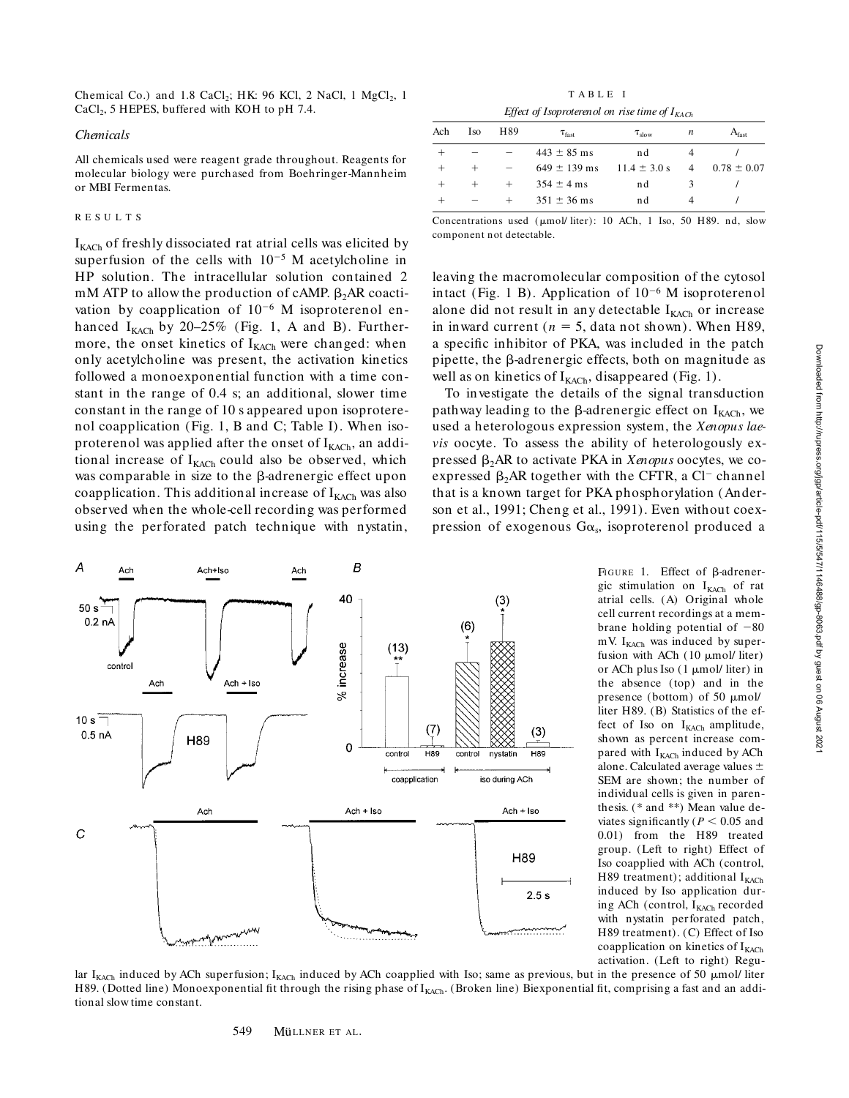Chemical Co.) and  $1.8 \text{ CaCl}_2$ ; HK: 96 KCl, 2 NaCl, 1 MgCl<sub>2</sub>, 1  $CaCl<sub>2</sub>$ , 5 HEPES, buffered with KOH to pH 7.4.

#### *Chemicals*

All chemicals used were reagent grade throughout. Reagents for molecular biology were purchased from Boehringer-Mannheim or MBI Fermentas.

## RESULTS

 $I_{KACH}$  of freshly dissociated rat atrial cells was elicited by superfusion of the cells with  $10^{-5}$  M acetylcholine in HP solution. The intracellular solution contained 2  $mM$  ATP to allow the production of cAMP.  $\beta_2AR$  coactivation by coapplication of  $10^{-6}$  M isoproterenol enhanced  $I_{KACH}$  by 20-25% (Fig. 1, A and B). Furthermore, the onset kinetics of  $I_{KACH}$  were changed: when only acetylcholine was present, the activation kinetics followed a monoexponential function with a time constant in the range of 0.4 s; an additional, slower time constant in the range of 10 s appeared upon isoproterenol coapplication (Fig. 1, B and C; Table I). When isoproterenol was applied after the onset of  $I_{KACh}$ , an additional increase of  $I_{KACH}$  could also be observed, which was comparable in size to the  $\beta$ -adrenergic effect upon coapplication. This additional increase of  $I_{KACh}$  was also observed when the whole-cell recording was performed using the perforated patch technique with nystatin,



TABLE I *Effect of Isoproterenol on rise time of IKACh*

| Ach | Iso    | H89 | $\tau_{\text{fast}}$ | $\tau_{slow}$    | n | A <sub>fast</sub> |
|-----|--------|-----|----------------------|------------------|---|-------------------|
|     |        |     | $443 \pm 85$ ms      | nd               |   |                   |
|     | $^{+}$ |     | $649 \pm 139$ ms     | $11.4 \pm 3.0 s$ | 4 | $0.78 \pm 0.07$   |
|     |        |     | $354 \pm 4$ ms       | nd               |   |                   |
|     |        |     | $351 \pm 36$ ms      | nd               | 4 |                   |
|     |        |     |                      |                  |   |                   |

Concentrations used (µmol/ liter): 10 ACh, 1 Iso, 50 H89. nd, slow component not detectable.

leaving the macromolecular composition of the cytosol intact (Fig. 1 B). Application of  $10^{-6}$  M isoproterenol alone did not result in any detectable  $I_{KACh}$  or increase in inward current ( $n = 5$ , data not shown). When H89, a specific inhibitor of PKA, was included in the patch pipette, the  $\beta$ -adrenergic effects, both on magnitude as well as on kinetics of  $I_{KACH}$ , disappeared (Fig. 1).

To investigate the details of the signal transduction pathway leading to the  $\beta$ -adrenergic effect on  $I_{KACH}$ , we used a heterologous expression system, the *Xenopus laevis* oocyte. To assess the ability of heterologously expressed β<sub>2</sub>AR to activate PKA in *Xenopus* oocytes, we coexpressed  $\beta_2$ AR together with the CFTR, a Cl<sup>-</sup> channel that is a known target for PKA phosphorylation (Anderson et al., 1991; Cheng et al., 1991). Even without coexpression of exogenous  $G\alpha_s$ , isoproterenol produced a

> FIGURE 1. Effect of  $\beta$ -adrenergic stimulation on I<sub>KACh</sub> of rat atrial cells. (A) Original whole cell current recordings at a membrane holding potential of  $-80$ mV.  $I_{KACH}$  was induced by superfusion with ACh  $(10 \mu \text{mol/ liter})$ or ACh plus Iso  $(1 \mu \text{mol/ liter})$  in the absence (top) and in the presence (bottom) of 50  $\mu$ mol/ liter H89. (B) Statistics of the effect of Iso on  $I_{KACH}$  amplitude, shown as percent increase compared with I<sub>KACh</sub> induced by ACh alone. Calculated average values  $\pm$ SEM are shown; the number of individual cells is given in parenthesis. (\* and \*\*) Mean value deviates significantly ( $P < 0.05$  and 0.01) from the H89 treated group. (Left to right) Effect of Iso coapplied with ACh (control, H89 treatment); additional  $I_{KACH}$ induced by Iso application during ACh (control,  $I_{KACH}$  recorded with nystatin perforated patch, H89 treatment). (C) Effect of Iso coapplication on kinetics of  $I_{KACH}$ activation. (Left to right) Regu-

lar I<sub>KACh</sub> induced by ACh superfusion; I<sub>KACh</sub> induced by ACh coapplied with Iso; same as previous, but in the presence of 50  $\mu$ mol/ liter H89. (Dotted line) Monoexponential fit through the rising phase of  $I_{KACH}$ . (Broken line) Biexponential fit, comprising a fast and an additional slow time constant.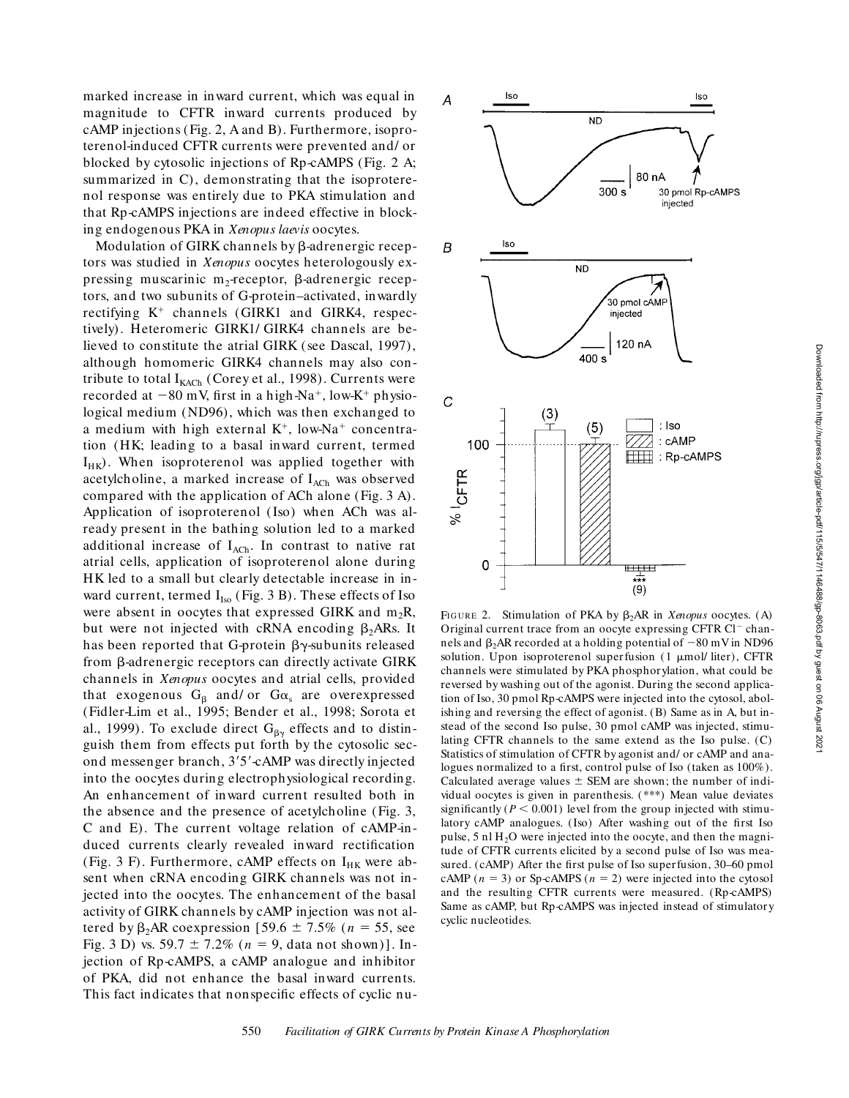marked increase in inward current, which was equal in magnitude to CFTR inward currents produced by cAMP injections (Fig. 2, A and B). Furthermore, isoproterenol-induced CFTR currents were prevented and/ or blocked by cytosolic injections of Rp-cAMPS (Fig. 2 A; summarized in C), demonstrating that the isoproterenol response was entirely due to PKA stimulation and that Rp-cAMPS injections are indeed effective in blocking endogenous PKA in *Xenopus laevis* oocytes.

Modulation of GIRK channels by  $\beta$ -adrenergic receptors was studied in *Xenopus* oocytes heterologously expressing muscarinic m<sub>2</sub>-receptor,  $\beta$ -adrenergic receptors, and two subunits of G-protein–activated, inwardly rectifying  $K^+$  channels (GIRK1 and GIRK4, respectively). Heteromeric GIRK1/ GIRK4 channels are believed to constitute the atrial GIRK (see Dascal, 1997), although homomeric GIRK4 channels may also contribute to total  $I_{KACH}$  (Corey et al., 1998). Currents were recorded at  $-80$  mV, first in a high-Na<sup>+</sup>, low-K<sup>+</sup> physiological medium (ND96), which was then exchanged to a medium with high external  $K^+$ , low-Na<sup>+</sup> concentration (HK; leading to a basal inward current, termed  $I_{HK}$ ). When isoproterenol was applied together with acetylcholine, a marked increase of  $I_{ACh}$  was observed compared with the application of ACh alone (Fig. 3 A). Application of isoproterenol (Iso) when ACh was already present in the bathing solution led to a marked additional increase of  $I_{ACh}$ . In contrast to native rat atrial cells, application of isoproterenol alone during HK led to a small but clearly detectable increase in inward current, termed  $I_{Iso}$  (Fig. 3 B). These effects of Iso were absent in oocytes that expressed GIRK and  $m_2R$ , but were not injected with cRNA encoding  $\beta_2$ ARs. It has been reported that G-protein  $\beta\gamma$ -subunits released from b-adrenergic receptors can directly activate GIRK channels in *Xenopus* oocytes and atrial cells, provided that exogenous  $G_{\beta}$  and/ or  $G_{\alpha_s}$  are overexpressed (Fidler-Lim et al., 1995; Bender et al., 1998; Sorota et al., 1999). To exclude direct  $G_{\beta\gamma}$  effects and to distinguish them from effects put forth by the cytosolic second messenger branch, 3'5'-cAMP was directly injected into the oocytes during electrophysiological recording. An enhancement of inward current resulted both in the absence and the presence of acetylcholine (Fig. 3, C and E). The current voltage relation of cAMP-induced currents clearly revealed inward rectification (Fig. 3 F). Furthermore, cAMP effects on  $I_{HK}$  were absent when cRNA encoding GIRK channels was not injected into the oocytes. The enhancement of the basal activity of GIRK channels by cAMP injection was not altered by  $\beta_2$ AR coexpression [59.6  $\pm$  7.5% (*n* = 55, see Fig. 3 D) vs. 59.7  $\pm$  7.2% ( $n = 9$ , data not shown)]. Injection of Rp-cAMPS, a cAMP analogue and inhibitor of PKA, did not enhance the basal inward currents. This fact indicates that nonspecific effects of cyclic nu-



FIGURE 2. Stimulation of PKA by  $\beta_2$ AR in *Xenopus* oocytes. (A) Original current trace from an oocyte expressing CFTR  $Cl^-$  channels and  $\beta_2$ AR recorded at a holding potential of  $-80$  mV in ND96 solution. Upon isoproterenol superfusion (1 µmol/ liter), CFTR channels were stimulated by PKA phosphorylation, what could be reversed by washing out of the agonist. During the second application of Iso, 30 pmol Rp-cAMPS were injected into the cytosol, abolishing and reversing the effect of agonist. (B) Same as in A, but instead of the second Iso pulse, 30 pmol cAMP was injected, stimulating CFTR channels to the same extend as the Iso pulse. (C) Statistics of stimulation of CFTR by agonist and/ or cAMP and analogues normalized to a first, control pulse of Iso (taken as 100%). Calculated average values  $\pm$  SEM are shown; the number of individual oocytes is given in parenthesis. (\*\*\*) Mean value deviates significantly  $(P < 0.001)$  level from the group injected with stimulatory cAMP analogues. (Iso) After washing out of the first Iso pulse,  $5$  nl  $H_2O$  were injected into the oocyte, and then the magnitude of CFTR currents elicited by a second pulse of Iso was measured. (cAMP) After the first pulse of Iso superfusion, 30–60 pmol cAMP ( $n = 3$ ) or Sp-cAMPS ( $n = 2$ ) were injected into the cytosol and the resulting CFTR currents were measured. (Rp-cAMPS) Same as cAMP, but Rp-cAMPS was injected instead of stimulatory cyclic nucleotides.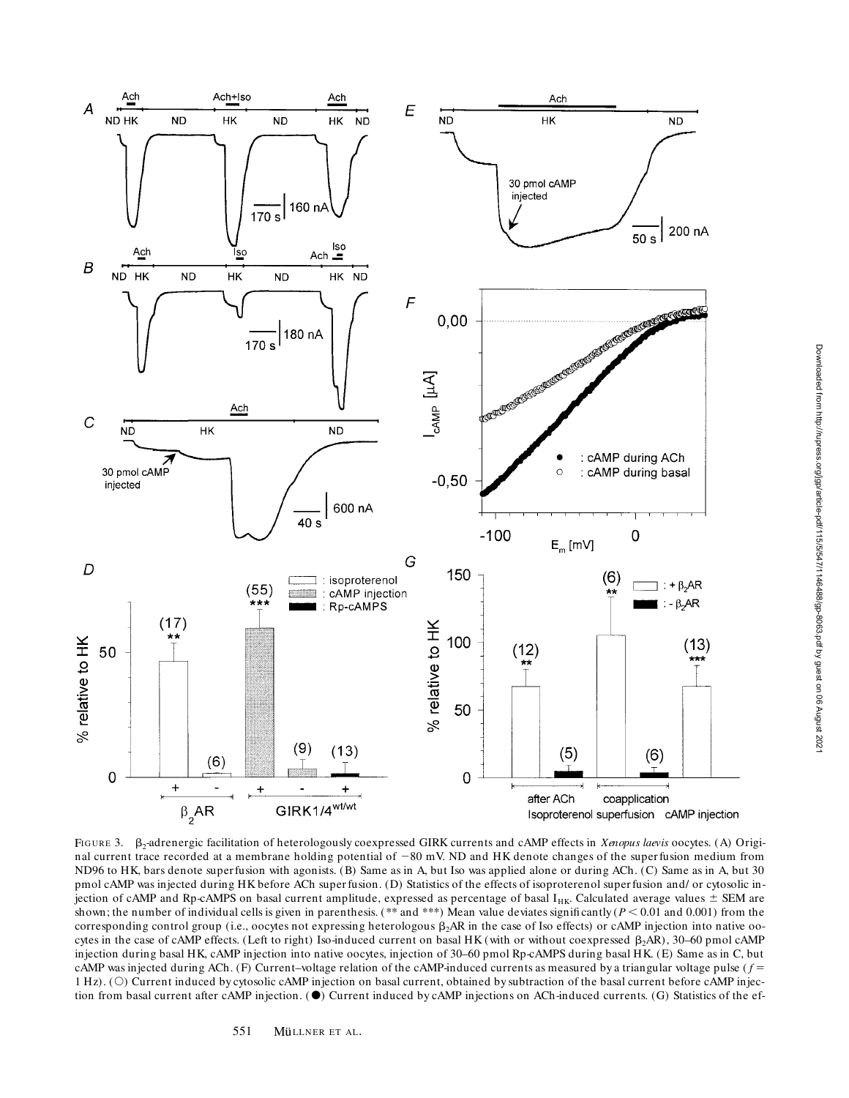

FIGURE 3.  $\beta_2$ -adrenergic facilitation of heterologously coexpressed GIRK currents and cAMP effects in *Xenopus laevis* oocytes. (A) Original current trace recorded at a membrane holding potential of -80 mV. ND and HK denote changes of the superfusion medium from ND96 to HK, bars denote superfusion with agonists. (B) Same as in A, but Iso was applied alone or during ACh. (C) Same as in A, but 30 pmol cAMP was injected during HK before ACh super fusion. (D) Statistics of the effects of isoproterenol super fusion and/ or cytosolic injection of cAMP and Rp-cAMPS on basal current amplitude, expressed as percentage of basal I<sub>HK</sub>. Calculated average values  $\pm$  SEM are shown; the number of individual cells is given in parenthesis. (\*\* and \*\*\*) Mean value deviates significantly ( $P < 0.01$  and 0.001) from the corresponding control group (i.e., oocytes not expressing heterologous  $\beta_2AR$  in the case of Iso effects) or cAMP injection into native oocytes in the case of cAMP effects. (Left to right) Iso-induced current on basal HK (with or without coexpressed  $\beta_2AR$ ), 30–60 pmol cAMP injection during basal HK, cAMP injection into native oocytes, injection of 30–60 pmol Rp-cAMPS during basal HK. (E) Same as in C, but cAMP was injected during ACh. (F) Current–voltage relation of the cAMP-induced currents as measured by a triangular voltage pulse ( $f =$ 1 Hz). (O) Current induced by cytosolic cAMP injection on basal current, obtained by subtraction of the basal current before cAMP injection from basal current after cAMP injection.  $\bullet$  Current induced by cAMP injections on ACh-induced currents. (G) Statistics of the ef-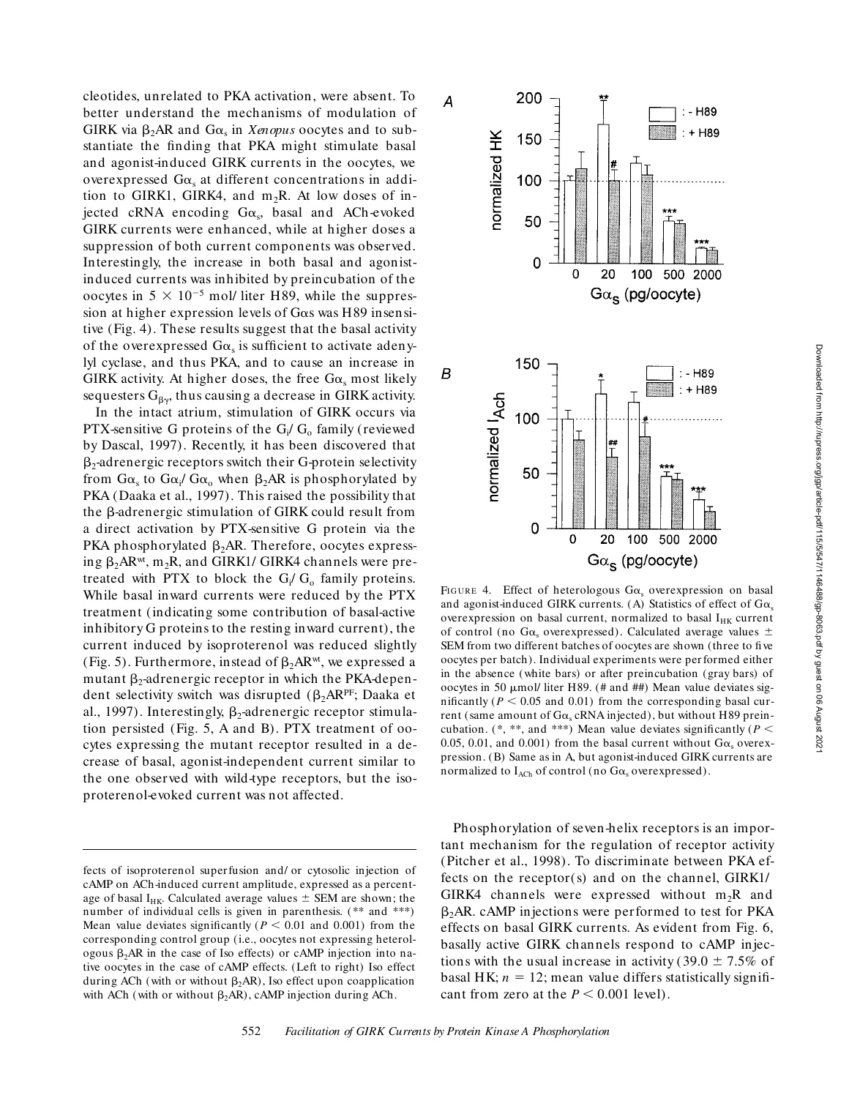$\cdot$  - H89  $+H89$ 

100 500 2000

: - H89  $: + H89$ 

 $Ga_{s}$  (pg/oocyte)

Downloaded from http://rupress.org/jgp/article-pdf/115/5/547/1146488/gp-8063.pdf by guest on 06 August 2021

Downloaded from http://rupress.org/jgp/article-pdf/115/5/547/1146488/gp-8063.pdf by guest on 06 August 2021

cleotides, unrelated to PKA activation, were absent. To better understand the mechanisms of modulation of GIRK via  $\beta_2$ AR and G $\alpha_s$  in *Xenopus* oocytes and to substantiate the finding that PKA might stimulate basal and agonist-induced GIRK currents in the oocytes, we overexpressed  $G\alpha_s$  at different concentrations in addition to GIRK1, GIRK4, and  $m_2R$ . At low doses of injected cRNA encoding  $G\alpha_s$ , basal and ACh-evoked GIRK currents were enhanced, while at higher doses a suppression of both current components was observed. Interestingly, the increase in both basal and agonistinduced currents was inhibited by preincubation of the oocytes in  $5 \times 10^{-5}$  mol/ liter H89, while the suppression at higher expression levels of Gas was H89 insensitive (Fig. 4). These results suggest that the basal activity of the overexpressed  $G\alpha_s$  is sufficient to activate adenylyl cyclase, and thus PKA, and to cause an increase in GIRK activity. At higher doses, the free  $G\alpha_{s}$  most likely sequesters  $G_{\beta y}$ , thus causing a decrease in GIRK activity.

In the intact atrium, stimulation of GIRK occurs via PTX-sensitive G proteins of the  $G_i/G_o$  family (reviewed by Dascal, 1997). Recently, it has been discovered that  $\beta_2$ -adrenergic receptors switch their G-protein selectivity from G $\alpha_{\rm s}$  to G $\alpha_{\rm i}$ / G $\alpha_{\rm o}$  when  $\beta_{2}$ AR is phosphorylated by PKA (Daaka et al., 1997). This raised the possibility that the B-adrenergic stimulation of GIRK could result from a direct activation by PTX-sensitive G protein via the PKA phosphorylated  $\beta_2$ AR. Therefore, oocytes expressing  $\beta_2AR^{wt}$ , m<sub>2</sub>R, and GIRK1/ GIRK4 channels were pretreated with PTX to block the  $G_i/G_o$  family proteins. While basal inward currents were reduced by the PTX treatment (indicating some contribution of basal-active inhibitory G proteins to the resting inward current), the current induced by isoproterenol was reduced slightly (Fig. 5). Furthermore, instead of  $\beta_2AR^{wt}$ , we expressed a mutant  $\beta_2$ -adrenergic receptor in which the PKA-dependent selectivity switch was disrupted  $(\beta_2AR^{PF};$  Daaka et al., 1997). Interestingly,  $\beta_2$ -adrenergic receptor stimulation persisted (Fig. 5, A and B). PTX treatment of oocytes expressing the mutant receptor resulted in a decrease of basal, agonist-independent current similar to the one observed with wild-type receptors, but the isoproterenol-evoked current was not affected.



20

200

150

100

50

 $\Omega$ 

150

100

50

 $\overline{0}$ 

normalized l<sub>Ach</sub>

 $\mathbf 0$ 

20

normalized HK

 $\overline{A}$ 

 $\boldsymbol{B}$ 

Phosphorylation of seven-helix receptors is an important mechanism for the regulation of receptor activity (Pitcher et al., 1998). To discriminate between PKA effects on the receptor(s) and on the channel, GIRK1/ GIRK4 channels were expressed without  $m_2R$  and  $\beta_2$ AR. cAMP injections were performed to test for PKA effects on basal GIRK currents. As evident from Fig. 6, basally active GIRK channels respond to cAMP injections with the usual increase in activity (39.0  $\pm$  7.5% of basal HK;  $n = 12$ ; mean value differs statistically significant from zero at the  $P \leq 0.001$  level).

fects of isoproterenol superfusion and/ or cytosolic injection of cAMP on ACh-induced current amplitude, expressed as a percentage of basal I<sub>HK</sub>. Calculated average values  $\pm$  SEM are shown; the number of individual cells is given in parenthesis. (\*\* and \*\*\*) Mean value deviates significantly ( $P < 0.01$  and 0.001) from the corresponding control group (i.e., oocytes not expressing heterologous  $\beta_2$ AR in the case of Iso effects) or cAMP injection into native oocytes in the case of cAMP effects. (Left to right) Iso effect during ACh (with or without  $\beta_2AR$ ), Iso effect upon coapplication with ACh (with or without  $\beta_2AR$ ), cAMP injection during ACh.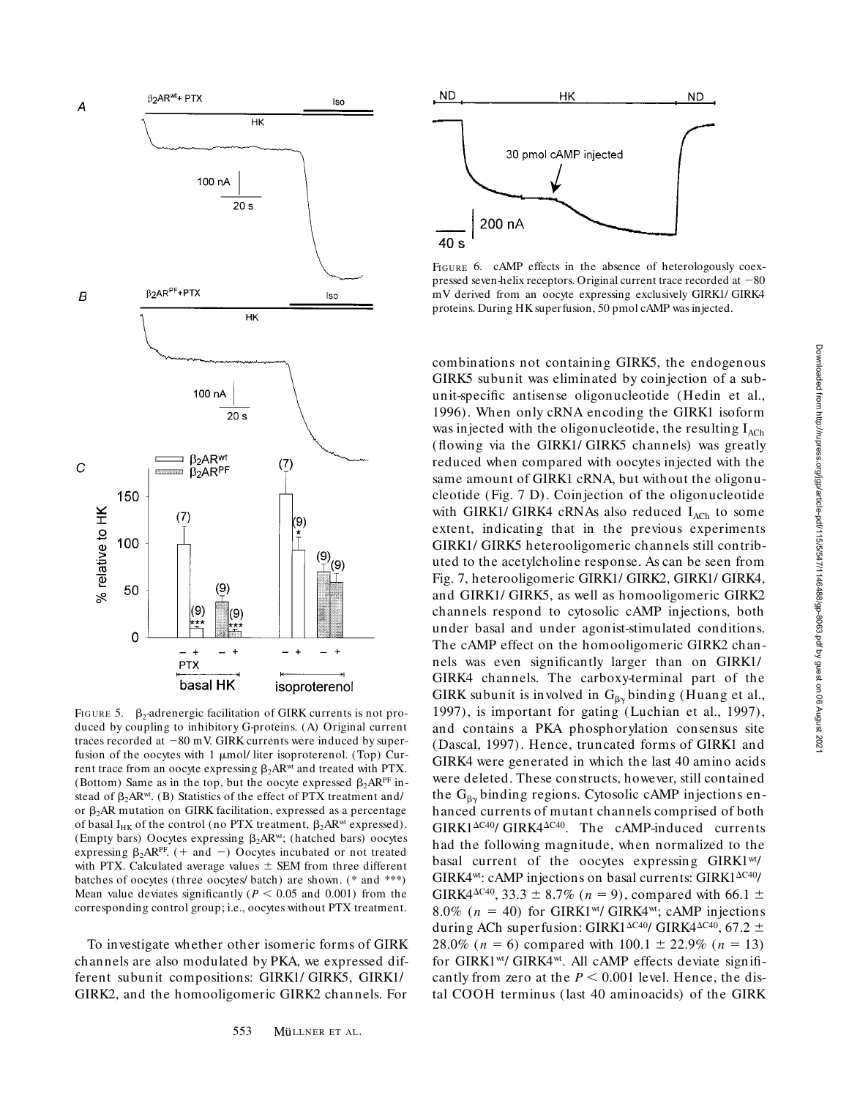

FIGURE 5.  $\beta_2$ -adrenergic facilitation of GIRK currents is not produced by coupling to inhibitory G-proteins. (A) Original current traces recorded at  $-80$  mV. GIRK currents were induced by superfusion of the oocytes with 1 µmol/ liter isoproterenol. (Top) Current trace from an oocyte expressing  $\beta_2$ AR<sup>wt</sup> and treated with PTX. (Bottom) Same as in the top, but the oocyte expressed  $\beta_2AR^{\text{PF}}$  instead of  $\beta_2AR^{wt}$ . (B) Statistics of the effect of PTX treatment and/ or  $\beta_2$ AR mutation on GIRK facilitation, expressed as a percentage of basal I<sub>HK</sub> of the control (no PTX treatment,  $\beta_2AR^{wt}$  expressed). (Empty bars) Oocytes expressing  $\beta_2$ AR<sup>wt</sup>; (hatched bars) oocytes expressing  $\beta_2$ ARPF. (+ and -) Oocytes incubated or not treated with PTX. Calculated average values  $\pm$  SEM from three different batches of oocytes (three oocytes/ batch) are shown. (\* and \*\*\*) Mean value deviates significantly ( $P < 0.05$  and 0.001) from the corresponding control group; i.e., oocytes without PTX treatment.

To investigate whether other isomeric forms of GIRK channels are also modulated by PKA, we expressed different subunit compositions: GIRK1/ GIRK5, GIRK1/ GIRK2, and the homooligomeric GIRK2 channels. For



FIGURE 6. cAMP effects in the absence of heterologously coexpressed seven-helix receptors. Original current trace recorded at  $-80$ mV derived from an oocyte expressing exclusively GIRK1/ GIRK4 proteins. During HK superfusion, 50 pmol cAMP was injected.

combinations not containing GIRK5, the endogenous GIRK5 subunit was eliminated by coinjection of a subunit-specific antisense oligonucleotide (Hedin et al., 1996). When only cRNA encoding the GIRK1 isoform was injected with the oligonucleotide, the resulting  $I_{ACh}$ (flowing via the GIRK1/ GIRK5 channels) was greatly reduced when compared with oocytes injected with the same amount of GIRK1 cRNA, but without the oligonucleotide (Fig. 7 D). Coinjection of the oligonucleotide with GIRK1/ GIRK4 cRNAs also reduced  $I_{ACh}$  to some extent, indicating that in the previous experiments GIRK1/ GIRK5 heterooligomeric channels still contributed to the acetylcholine response. As can be seen from Fig. 7, heterooligomeric GIRK1/ GIRK2, GIRK1/ GIRK4, and GIRK1/ GIRK5, as well as homooligomeric GIRK2 channels respond to cytosolic cAMP injections, both under basal and under agonist-stimulated conditions. The cAMP effect on the homooligomeric GIRK2 channels was even significantly larger than on GIRK1/ GIRK4 channels. The carboxy-terminal part of the GIRK subunit is involved in  $G_{\beta\gamma}$  binding (Huang et al., 1997), is important for gating (Luchian et al., 1997), and contains a PKA phosphorylation consensus site (Dascal, 1997). Hence, truncated forms of GIRK1 and GIRK4 were generated in which the last 40 amino acids were deleted. These constructs, however, still contained the  $G_{\beta\gamma}$  binding regions. Cytosolic cAMP injections enhanced currents of mutant channels comprised of both  $GIRK1^{\Delta C40}$ /  $GIRK4^{\Delta C40}$ . The cAMP-induced currents had the following magnitude, when normalized to the basal current of the oocytes expressing GIRK1<sup>wt</sup>/  $GIRK4<sup>wt</sup>: cAMP injections on basal currents:  $GIRK1<sup>AC40</sup>/$$ GIRK4<sup> $\Delta$ C40</sup>, 33.3  $\pm$  8.7% (*n* = 9), compared with 66.1  $\pm$ 8.0% ( $n = 40$ ) for GIRK1<sup>wt</sup>/ GIRK4<sup>wt</sup>; cAMP injections during ACh superfusion: GIRK1 $\Delta$ C40/ GIRK4 $\Delta$ C40, 67.2  $\pm$ 28.0% ( $n = 6$ ) compared with 100.1  $\pm$  22.9% ( $n = 13$ ) for GIRK1wt/ GIRK4wt. All cAMP effects deviate significantly from zero at the  $P < 0.001$  level. Hence, the distal COOH terminus (last 40 aminoacids) of the GIRK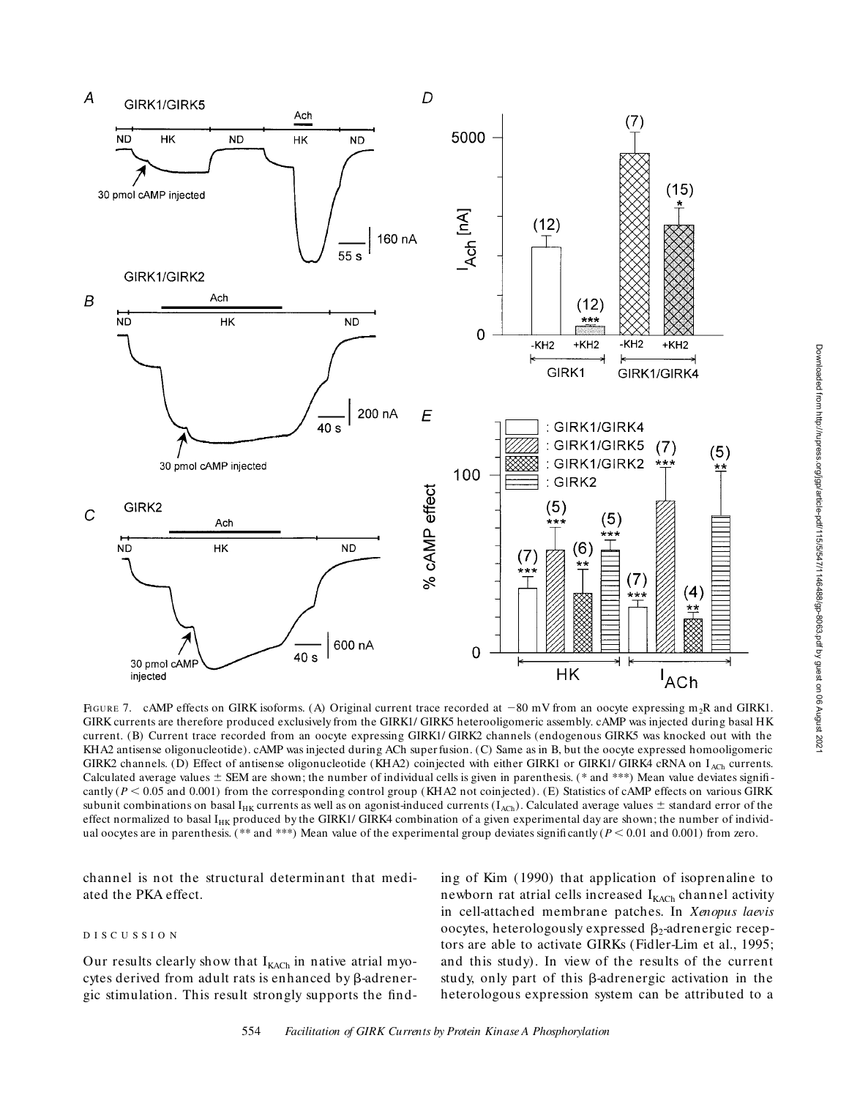

FIGURE 7. cAMP effects on GIRK isoforms. (A) Original current trace recorded at  $-80$  mV from an oocyte expressing m<sub>2</sub>R and GIRK1. GIRK currents are therefore produced exclusively from the GIRK1/ GIRK5 heterooligomeric assembly. cAMP was injected during basal HK current. (B) Current trace recorded from an oocyte expressing GIRK1/ GIRK2 channels (endogenous GIRK5 was knocked out with the KHA2 antisense oligonucleotide). cAMP was injected during ACh super fusion. (C) Same as in B, but the oocyte expressed homooligomeric GIRK2 channels. (D) Effect of antisense oligonucleotide (KHA2) coinjected with either GIRK1 or GIRK1/ GIRK4 cRNA on I<sub>ACh</sub> currents. Calculated average values  $\pm$  SEM are shown; the number of individual cells is given in parenthesis. (\* and \*\*\*) Mean value deviates significantly ( $P$  < 0.05 and 0.001) from the corresponding control group (KHA2 not coinjected). (E) Statistics of cAMP effects on various GIRK subunit combinations on basal I<sub>HK</sub> currents as well as on agonist-induced currents ( $I_{ACh}$ ). Calculated average values  $\pm$  standard error of the effect normalized to basal  $I_{HK}$  produced by the GIRK1/ GIRK4 combination of a given experimental day are shown; the number of individual oocytes are in parenthesis. (\*\* and \*\*\*) Mean value of the experimental group deviates significantly ( $P < 0.01$  and 0.001) from zero.

channel is not the structural determinant that mediated the PKA effect.

## DISCUSSIO N

Our results clearly show that  $I_{KACH}$  in native atrial myocytes derived from adult rats is enhanced by  $\beta$ -adrenergic stimulation. This result strongly supports the finding of Kim (1990) that application of isoprenaline to newborn rat atrial cells increased  $I_{KACH}$  channel activity in cell-attached membrane patches. In *Xenopus laevis* oocytes, heterologously expressed  $\beta_2$ -adrenergic receptors are able to activate GIRKs (Fidler-Lim et al., 1995; and this study). In view of the results of the current study, only part of this  $\beta$ -adrenergic activation in the heterologous expression system can be attributed to a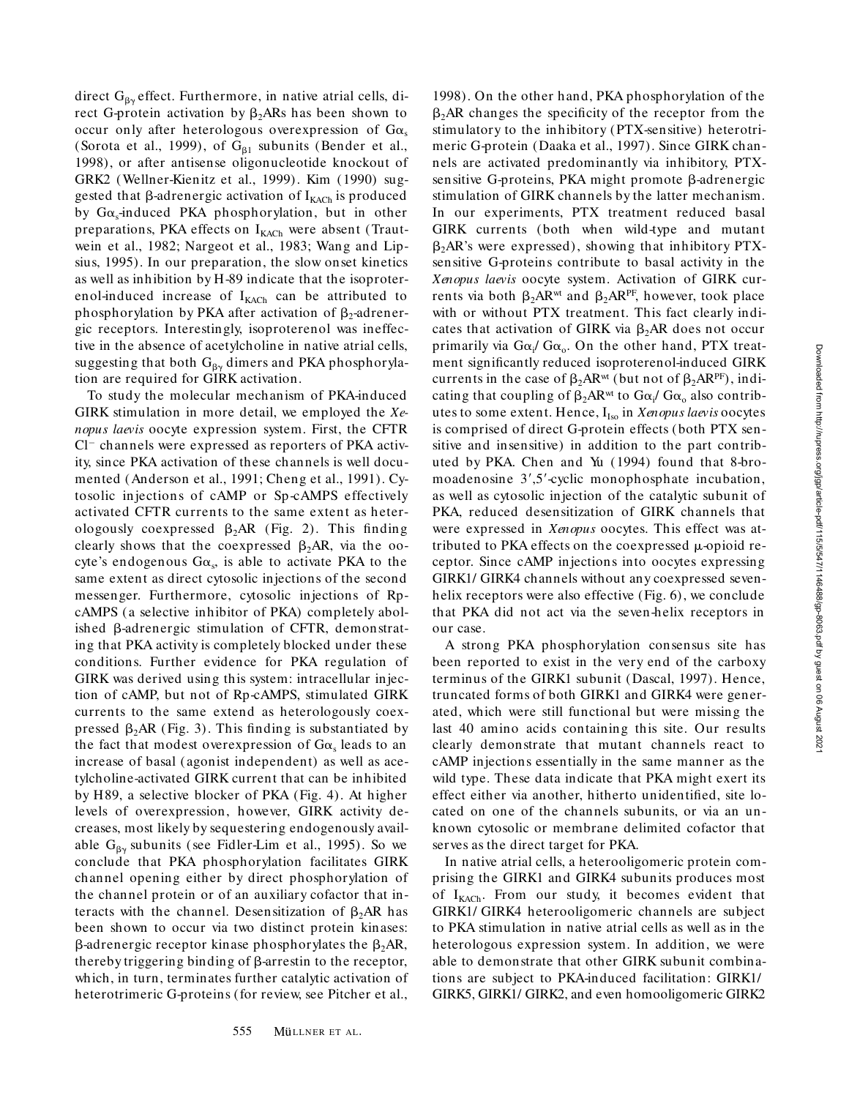direct  $G_{\beta\gamma}$  effect. Furthermore, in native atrial cells, direct G-protein activation by  $\beta_2$ ARs has been shown to occur only after heterologous overexpression of  $Ga_s$ (Sorota et al., 1999), of  $G_{\beta1}$  subunits (Bender et al., 1998), or after antisense oligonucleotide knockout of GRK2 (Wellner-Kienitz et al., 1999). Kim (1990) suggested that  $\beta$ -adrenergic activation of  $I_{KACH}$  is produced by G $\alpha_{\rm s}$ -induced PKA phosphorylation, but in other preparations, PKA effects on  $I_{KACH}$  were absent (Trautwein et al., 1982; Nargeot et al., 1983; Wang and Lipsius, 1995). In our preparation, the slow onset kinetics as well as inhibition by H-89 indicate that the isoproterenol-induced increase of  $I_{KACH}$  can be attributed to phosphorylation by PKA after activation of  $\beta_2$ -adrenergic receptors. Interestingly, isoproterenol was ineffective in the absence of acetylcholine in native atrial cells, suggesting that both  $G_{\beta\gamma}$  dimers and PKA phosphorylation are required for GIRK activation.

To study the molecular mechanism of PKA-induced GIRK stimulation in more detail, we employed the *Xenopus laevis* oocyte expression system. First, the CFTR  $Cl^-$  channels were expressed as reporters of PKA activity, since PKA activation of these channels is well documented (Anderson et al., 1991; Cheng et al., 1991). Cytosolic injections of cAMP or Sp-cAMPS effectively activated CFTR currents to the same extent as heterologously coexpressed  $\beta_2AR$  (Fig. 2). This finding clearly shows that the coexpressed  $\beta_2AR$ , via the oocyte's endogenous  $G\alpha_{s}$ , is able to activate PKA to the same extent as direct cytosolic injections of the second messenger. Furthermore, cytosolic injections of RpcAMPS (a selective inhibitor of PKA) completely abolished  $\beta$ -adrenergic stimulation of CFTR, demonstrating that PKA activity is completely blocked under these conditions. Further evidence for PKA regulation of GIRK was derived using this system: intracellular injection of cAMP, but not of Rp-cAMPS, stimulated GIRK currents to the same extend as heterologously coexpressed  $\beta_2$ AR (Fig. 3). This finding is substantiated by the fact that modest overexpression of  $Ga_s$  leads to an increase of basal (agonist independent) as well as acetylcholine-activated GIRK current that can be inhibited by H89, a selective blocker of PKA (Fig. 4). At higher levels of overexpression, however, GIRK activity decreases, most likely by sequestering endogenously available G<sub> $\beta\gamma$ </sub> subunits (see Fidler-Lim et al., 1995). So we conclude that PKA phosphorylation facilitates GIRK channel opening either by direct phosphorylation of the channel protein or of an auxiliary cofactor that interacts with the channel. Desensitization of  $\beta_2 AR$  has been shown to occur via two distinct protein kinases:  $\beta$ -adrenergic receptor kinase phosphorylates the  $\beta_2AR$ , thereby triggering binding of  $\beta$ -arrestin to the receptor, which, in turn, terminates further catalytic activation of heterotrimeric G-proteins (for review, see Pitcher et al.,

1998). On the other hand, PKA phosphorylation of the  $\beta_2$ AR changes the specificity of the receptor from the stimulatory to the inhibitory (PTX-sensitive) heterotrimeric G-protein (Daaka et al., 1997). Since GIRK channels are activated predominantly via inhibitory, PTXsensitive G-proteins, PKA might promote  $\beta$ -adrenergic stimulation of GIRK channels by the latter mechanism. In our experiments, PTX treatment reduced basal GIRK currents (both when wild-type and mutant  $\beta_2$ AR's were expressed), showing that inhibitory PTXsensitive G-proteins contribute to basal activity in the *Xenopus laevis* oocyte system. Activation of GIRK currents via both  $\beta_2AR^{wt}$  and  $\beta_2AR^{PF}$ , however, took place with or without PTX treatment. This fact clearly indicates that activation of GIRK via  $\beta_2$ AR does not occur primarily via G $\alpha_i$ / G $\alpha_o$ . On the other hand, PTX treatment significantly reduced isoproterenol-induced GIRK currents in the case of  $\beta_2AR^{wt}$  (but not of  $\beta_2AR^{PF}$ ), indicating that coupling of  $\beta_2AR^{\omega t}$  to  $G\alpha_i/G\alpha_o$  also contributes to some extent. Hence, I<sub>Iso</sub> in *Xenopus laevis* oocytes is comprised of direct G-protein effects (both PTX sensitive and insensitive) in addition to the part contributed by PKA. Chen and Yu (1994) found that 8-bromoadenosine  $3^{\prime},5^{\prime}$ -cyclic monophosphate incubation, as well as cytosolic injection of the catalytic subunit of PKA, reduced desensitization of GIRK channels that were expressed in *Xenopus* oocytes. This effect was attributed to PKA effects on the coexpressed  $\mu$ -opioid receptor. Since cAMP injections into oocytes expressing GIRK1/ GIRK4 channels without any coexpressed sevenhelix receptors were also effective (Fig. 6), we conclude that PKA did not act via the seven-helix receptors in our case.

A strong PKA phosphorylation consensus site has been reported to exist in the very end of the carboxy terminus of the GIRK1 subunit (Dascal, 1997). Hence, truncated forms of both GIRK1 and GIRK4 were generated, which were still functional but were missing the last 40 amino acids containing this site. Our results clearly demonstrate that mutant channels react to cAMP injections essentially in the same manner as the wild type. These data indicate that PKA might exert its effect either via another, hitherto unidentified, site located on one of the channels subunits, or via an unknown cytosolic or membrane delimited cofactor that serves as the direct target for PKA.

In native atrial cells, a heterooligomeric protein comprising the GIRK1 and GIRK4 subunits produces most of  $I_{KACH}$ . From our study, it becomes evident that GIRK1/ GIRK4 heterooligomeric channels are subject to PKA stimulation in native atrial cells as well as in the heterologous expression system. In addition, we were able to demonstrate that other GIRK subunit combinations are subject to PKA-induced facilitation: GIRK1/ GIRK5, GIRK1/ GIRK2, and even homooligomeric GIRK2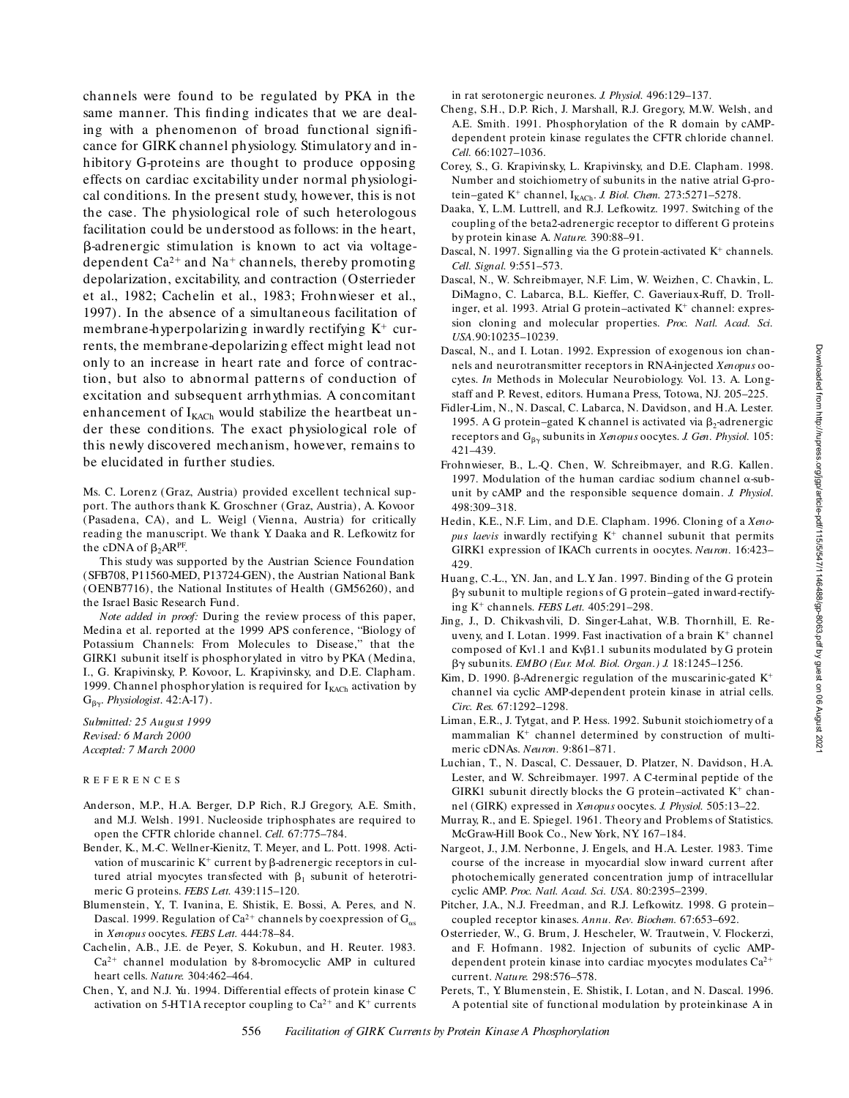channels were found to be regulated by PKA in the same manner. This finding indicates that we are dealing with a phenomenon of broad functional significance for GIRK channel physiology. Stimulatory and inhibitory G-proteins are thought to produce opposing effects on cardiac excitability under normal physiological conditions. In the present study, however, this is not the case. The physiological role of such heterologous facilitation could be understood as follows: in the heart, b-adrenergic stimulation is known to act via voltagedependent  $Ca^{2+}$  and Na<sup>+</sup> channels, thereby promoting depolarization, excitability, and contraction (Osterrieder et al., 1982; Cachelin et al., 1983; Frohnwieser et al., 1997). In the absence of a simultaneous facilitation of membrane-hyperpolarizing inwardly rectifying  $K^+$  currents, the membrane-depolarizing effect might lead not only to an increase in heart rate and force of contraction, but also to abnormal patterns of conduction of excitation and subsequent arrhythmias. A concomitant enhancement of  $I_{KACH}$  would stabilize the heartbeat under these conditions. The exact physiological role of this newly discovered mechanism, however, remains to be elucidated in further studies.

Ms. C. Lorenz (Graz, Austria) provided excellent technical support. The authors thank K. Groschner (Graz, Austria), A. Kovoor (Pasadena, CA), and L. Weigl (Vienna, Austria) for critically reading the manuscript. We thank Y. Daaka and R. Lefkowitz for the cDNA of  $\beta_2$ AR<sup>PF</sup>.

This study was supported by the Austrian Science Foundation (SFB708, P11560-MED, P13724-GEN), the Austrian National Bank (OENB7716), the National Institutes of Health (GM56260), and the Israel Basic Research Fund.

*Note added in proof:* During the review process of this paper, Medina et al. reported at the 1999 APS conference, "Biology of Potassium Channels: From Molecules to Disease," that the GIRK1 subunit itself is phosphorylated in vitro by PKA (Medina, I., G. Krapivinsky, P. Kovoor, L. Krapivinsky, and D.E. Clapham. 1999. Channel phosphorylation is required for  $I_{KACH}$  activation by  $G_{\beta\gamma}$ . *Physiologist*. 42:A-17).

*Submitted: 25 August 1999 Revised: 6 March 2000 Accepted: 7 March 2000*

#### REFERENCES

- Anderson, M.P., H.A. Berger, D.P Rich, R.J Gregory, A.E. Smith, and M.J. Welsh. 1991. Nucleoside triphosphates are required to open the CFTR chloride channel. *Cell.* 67:775–784.
- Bender, K., M.-C. Wellner-Kienitz, T. Meyer, and L. Pott. 1998. Activation of muscarinic  $K^+$  current by  $\beta$ -adrenergic receptors in cultured atrial myocytes transfected with  $\beta_1$  subunit of heterotrimeric G proteins. *FEBS Lett.* 439:115–120.
- Blumenstein, Y., T. Ivanina, E. Shistik, E. Bossi, A. Peres, and N. Dascal. 1999. Regulation of Ca<sup>2+</sup> channels by coexpression of  $G_{\alpha s}$ in *Xenopus* oocytes. *FEBS Lett.* 444:78–84.
- Cachelin, A.B., J.E. de Peyer, S. Kokubun, and H. Reuter. 1983.  $Ca<sup>2+</sup>$  channel modulation by 8-bromocyclic AMP in cultured heart cells. *Nature.* 304:462–464.
- Chen, Y., and N.J. Yu. 1994. Differential effects of protein kinase C activation on 5-HT1A receptor coupling to  $Ca^{2+}$  and  $K^+$  currents

in rat serotonergic neurones. *J. Physiol.* 496:129–137.

- Cheng, S.H., D.P. Rich, J. Marshall, R.J. Gregory, M.W. Welsh, and A.E. Smith. 1991. Phosphorylation of the R domain by cAMPdependent protein kinase regulates the CFTR chloride channel. *Cell.* 66:1027–1036.
- Corey, S., G. Krapivinsky, L. Krapivinsky, and D.E. Clapham. 1998. Number and stoichiometry of subunits in the native atrial G-protein–gated K<sup>+</sup> channel, I<sub>KACh</sub>. *J. Biol. Chem.* 273:5271-5278.
- Daaka, Y., L.M. Luttrell, and R.J. Lefkowitz. 1997. Switching of the coupling of the beta2-adrenergic receptor to different G proteins by protein kinase A. *Nature.* 390:88–91.
- Dascal, N. 1997. Signalling via the G protein-activated  $K^+$  channels. *Cell. Signal.* 9:551–573.
- Dascal, N., W. Schreibmayer, N.F. Lim, W. Weizhen, C. Chavkin, L. DiMagno, C. Labarca, B.L. Kieffer, C. Gaveriaux-Ruff, D. Trollinger, et al. 1993. Atrial G protein–activated  $K^+$  channel: expression cloning and molecular properties. *Proc. Natl. Acad. Sci. USA.*90:10235–10239.
- Dascal, N., and I. Lotan. 1992. Expression of exogenous ion channels and neurotransmitter receptors in RNA-injected *Xenopus* oocytes. *In* Methods in Molecular Neurobiology. Vol. 13. A. Longstaff and P. Revest, editors. Humana Press, Totowa, NJ. 205–225.
- Fidler-Lim, N., N. Dascal, C. Labarca, N. Davidson, and H.A. Lester. 1995. A G protein–gated K channel is activated via  $\beta_2$ -adrenergic receptors and G<sub>By</sub> subunits in *Xenopus* oocytes. *J. Gen. Physiol.* 105: 421–439.
- Frohnwieser, B., L.-Q. Chen, W. Schreibmayer, and R.G. Kallen. 1997. Modulation of the human cardiac sodium channel  $\alpha$ -subunit by cAMP and the responsible sequence domain. *J. Physiol*. 498:309–318.
- Hedin, K.E., N.F. Lim, and D.E. Clapham. 1996. Cloning of a *Xeno*pus laevis inwardly rectifying K<sup>+</sup> channel subunit that permits GIRK1 expression of IKACh currents in oocytes. *Neuron.* 16:423– 429.
- Huang, C.-L., Y.N. Jan, and L.Y. Jan. 1997. Binding of the G protein  $\beta\gamma$  subunit to multiple regions of G protein–gated inward-rectifying K<sup>1</sup> channels. *FEBS Lett.* 405:291–298.
- Jing, J., D. Chikvashvili, D. Singer-Lahat, W.B. Thornhill, E. Reuveny, and I. Lotan. 1999. Fast inactivation of a brain  $K^+$  channel composed of Kv1.1 and Kv $\beta$ 1.1 subunits modulated by G protein bg subunits. *EMBO (Eur. Mol. Biol. Organ.) J.* 18:1245–1256.
- Kim, D. 1990.  $\beta$ -Adrenergic regulation of the muscarinic-gated K<sup>+</sup> channel via cyclic AMP-dependent protein kinase in atrial cells. *Circ. Res.* 67:1292–1298.
- Liman, E.R., J. Tytgat, and P. Hess. 1992. Subunit stoichiometry of a mammalian  $K^+$  channel determined by construction of multimeric cDNAs. *Neuron.* 9:861–871.
- Luchian, T., N. Dascal, C. Dessauer, D. Platzer, N. Davidson, H.A. Lester, and W. Schreibmayer. 1997. A C-terminal peptide of the GIRK1 subunit directly blocks the G protein-activated  $K^+$  channel (GIRK) expressed in *Xenopus* oocytes. *J. Physiol.* 505:13–22.
- Murray, R., and E. Spiegel. 1961. Theory and Problems of Statistics. McGraw-Hill Book Co., New York, NY. 167–184.
- Nargeot, J., J.M. Nerbonne, J. Engels, and H.A. Lester. 1983. Time course of the increase in myocardial slow inward current after photochemically generated concentration jump of intracellular cyclic AMP. *Proc. Natl. Acad. Sci. USA.* 80:2395–2399.
- Pitcher, J.A., N.J. Freedman, and R.J. Lefkowitz. 1998. G protein– coupled receptor kinases. *Annu. Rev. Biochem.* 67:653–692.
- Osterrieder, W., G. Brum, J. Hescheler, W. Trautwein, V. Flockerzi, and F. Hofmann. 1982. Injection of subunits of cyclic AMPdependent protein kinase into cardiac myocytes modulates  $Ca^{2+}$ current. *Nature.* 298:576–578.
- Perets, T., Y. Blumenstein, E. Shistik, I. Lotan, and N. Dascal. 1996. A potential site of functional modulation by proteinkinase A in